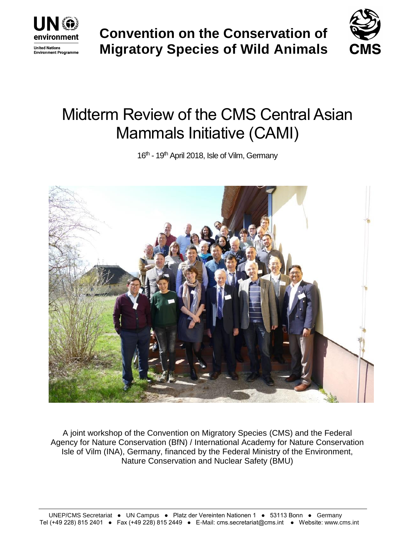

**Convention on the Conservation of Migratory Species of Wild Animals**



# Midterm Review of the CMS Central Asian Mammals Initiative (CAMI)

16<sup>th</sup> - 19<sup>th</sup> April 2018, Isle of Vilm, Germany



A joint workshop of the Convention on Migratory Species (CMS) and the Federal Agency for Nature Conservation (BfN) / International Academy for Nature Conservation Isle of Vilm (INA), Germany, financed by the Federal Ministry of the Environment, Nature Conservation and Nuclear Safety (BMU)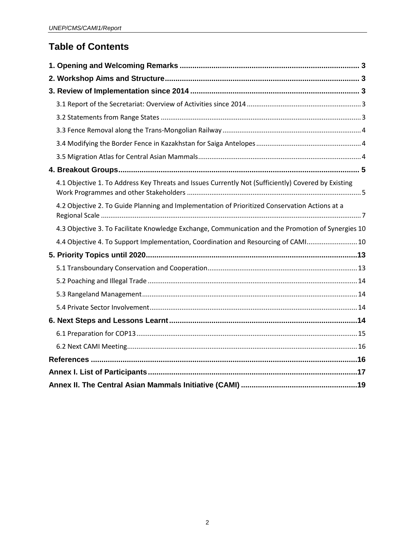# **Table of Contents**

| 4.1 Objective 1. To Address Key Threats and Issues Currently Not (Sufficiently) Covered by Existing |  |  |  |
|-----------------------------------------------------------------------------------------------------|--|--|--|
| 4.2 Objective 2. To Guide Planning and Implementation of Prioritized Conservation Actions at a      |  |  |  |
| 4.3 Objective 3. To Facilitate Knowledge Exchange, Communication and the Promotion of Synergies 10  |  |  |  |
| 4.4 Objective 4. To Support Implementation, Coordination and Resourcing of CAMI 10                  |  |  |  |
|                                                                                                     |  |  |  |
|                                                                                                     |  |  |  |
|                                                                                                     |  |  |  |
|                                                                                                     |  |  |  |
|                                                                                                     |  |  |  |
|                                                                                                     |  |  |  |
|                                                                                                     |  |  |  |
|                                                                                                     |  |  |  |
|                                                                                                     |  |  |  |
|                                                                                                     |  |  |  |
|                                                                                                     |  |  |  |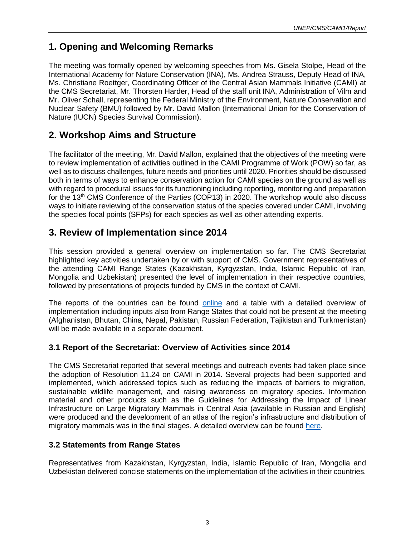# <span id="page-2-0"></span>**1. Opening and Welcoming Remarks**

The meeting was formally opened by welcoming speeches from Ms. Gisela Stolpe, Head of the International Academy for Nature Conservation (INA), Ms. Andrea Strauss, Deputy Head of INA, Ms. Christiane Roettger, Coordinating Officer of the Central Asian Mammals Initiative (CAMI) at the CMS Secretariat, Mr. Thorsten Harder, Head of the staff unit INA, Administration of Vilm and Mr. Oliver Schall, representing the Federal Ministry of the Environment, Nature Conservation and Nuclear Safety (BMU) followed by Mr. David Mallon (International Union for the Conservation of Nature (IUCN) Species Survival Commission).

# <span id="page-2-1"></span>**2. Workshop Aims and Structure**

The facilitator of the meeting, Mr. David Mallon, explained that the objectives of the meeting were to review implementation of activities outlined in the CAMI Programme of Work (POW) so far, as well as to discuss challenges, future needs and priorities until 2020. Priorities should be discussed both in terms of ways to enhance conservation action for CAMI species on the ground as well as with regard to procedural issues for its functioning including reporting, monitoring and preparation for the 13<sup>th</sup> CMS Conference of the Parties (COP13) in 2020. The workshop would also discuss ways to initiate reviewing of the conservation status of the species covered under CAMI, involving the species focal points (SFPs) for each species as well as other attending experts.

# <span id="page-2-2"></span>**3. Review of Implementation since 2014**

This session provided a general overview on implementation so far. The CMS Secretariat highlighted key activities undertaken by or with support of CMS. Government representatives of the attending CAMI Range States (Kazakhstan, Kyrgyzstan, India, Islamic Republic of Iran, Mongolia and Uzbekistan) presented the level of implementation in their respective countries, followed by presentations of projects funded by CMS in the context of CAMI.

The reports of the countries can be found [online](https://www.cms.int/cami/en/meeting/midterm-review-central-asian-mammals-initiative-cami) and a table with a detailed overview of implementation including inputs also from Range States that could not be present at the meeting (Afghanistan, Bhutan, China, Nepal, Pakistan, Russian Federation, Tajikistan and Turkmenistan) will be made available in a separate document.

#### <span id="page-2-3"></span>**3.1 Report of the Secretariat: Overview of Activities since 2014**

The CMS Secretariat reported that several meetings and outreach events had taken place since the adoption of Resolution 11.24 on CAMI in 2014. Several projects had been supported and implemented, which addressed topics such as reducing the impacts of barriers to migration, sustainable wildlife management, and raising awareness on migratory species. Information material and other products such as the Guidelines for Addressing the Impact of Linear Infrastructure on Large Migratory Mammals in Central Asia (available in Russian and English) were produced and the development of an atlas of the region's infrastructure and distribution of migratory mammals was in the final stages. A detailed overview can be found [here.](https://www.cms.int/cami/sites/default/files/document/cms_scc-sc3_inf.7_cami-pow-implementation_e_0.pdf)

#### <span id="page-2-4"></span>**3.2 Statements from Range States**

Representatives from Kazakhstan, Kyrgyzstan, India, Islamic Republic of Iran, Mongolia and Uzbekistan delivered concise statements on the implementation of the activities in their countries.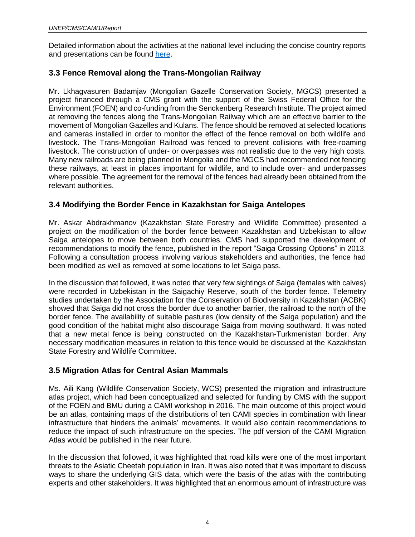Detailed information about the activities at the national level including the concise country reports and presentations can be found [here.](https://www.cms.int/cami/en/meeting/midterm-review-central-asian-mammals-initiative-cami)

#### <span id="page-3-0"></span>**3.3 Fence Removal along the Trans-Mongolian Railway**

Mr. Lkhagvasuren Badamjav (Mongolian Gazelle Conservation Society, MGCS) presented a project financed through a CMS grant with the support of the Swiss Federal Office for the Environment (FOEN) and co-funding from the Senckenberg Research Institute. The project aimed at removing the fences along the Trans-Mongolian Railway which are an effective barrier to the movement of Mongolian Gazelles and Kulans. The fence should be removed at selected locations and cameras installed in order to monitor the effect of the fence removal on both wildlife and livestock. The Trans-Mongolian Railroad was fenced to prevent collisions with free-roaming livestock. The construction of under- or overpasses was not realistic due to the very high costs. Many new railroads are being planned in Mongolia and the MGCS had recommended not fencing these railways, at least in places important for wildlife, and to include over- and underpasses where possible. The agreement for the removal of the fences had already been obtained from the relevant authorities.

#### <span id="page-3-1"></span>**3.4 Modifying the Border Fence in Kazakhstan for Saiga Antelopes**

Mr. Askar Abdrakhmanov (Kazakhstan State Forestry and Wildlife Committee) presented a project on the modification of the border fence between Kazakhstan and Uzbekistan to allow Saiga antelopes to move between both countries. CMS had supported the development of recommendations to modify the fence, published in the report "Saiga Crossing Options" in 2013. Following a consultation process involving various stakeholders and authorities, the fence had been modified as well as removed at some locations to let Saiga pass.

In the discussion that followed, it was noted that very few sightings of Saiga (females with calves) were recorded in Uzbekistan in the Saigachiy Reserve, south of the border fence. Telemetry studies undertaken by the Association for the Conservation of Biodiversity in Kazakhstan (ACBK) showed that Saiga did not cross the border due to another barrier, the railroad to the north of the border fence. The availability of suitable pastures (low density of the Saiga population) and the good condition of the habitat might also discourage Saiga from moving southward. It was noted that a new metal fence is being constructed on the Kazakhstan-Turkmenistan border. Any necessary modification measures in relation to this fence would be discussed at the Kazakhstan State Forestry and Wildlife Committee.

#### <span id="page-3-2"></span>**3.5 Migration Atlas for Central Asian Mammals**

Ms. Aili Kang (Wildlife Conservation Society, WCS) presented the migration and infrastructure atlas project, which had been conceptualized and selected for funding by CMS with the support of the FOEN and BMU during a CAMI workshop in 2016. The main outcome of this project would be an atlas, containing maps of the distributions of ten CAMI species in combination with linear infrastructure that hinders the animals' movements. It would also contain recommendations to reduce the impact of such infrastructure on the species. The pdf version of the CAMI Migration Atlas would be published in the near future.

In the discussion that followed, it was highlighted that road kills were one of the most important threats to the Asiatic Cheetah population in Iran. It was also noted that it was important to discuss ways to share the underlying GIS data, which were the basis of the atlas with the contributing experts and other stakeholders. It was highlighted that an enormous amount of infrastructure was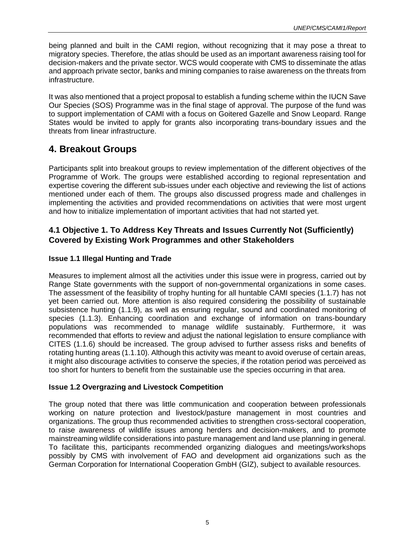being planned and built in the CAMI region, without recognizing that it may pose a threat to migratory species. Therefore, the atlas should be used as an important awareness raising tool for decision-makers and the private sector. WCS would cooperate with CMS to disseminate the atlas and approach private sector, banks and mining companies to raise awareness on the threats from infrastructure.

It was also mentioned that a project proposal to establish a funding scheme within the IUCN Save Our Species (SOS) Programme was in the final stage of approval. The purpose of the fund was to support implementation of CAMI with a focus on Goitered Gazelle and Snow Leopard. Range States would be invited to apply for grants also incorporating trans-boundary issues and the threats from linear infrastructure.

## <span id="page-4-0"></span>**4. Breakout Groups**

Participants split into breakout groups to review implementation of the different objectives of the Programme of Work. The groups were established according to regional representation and expertise covering the different sub-issues under each objective and reviewing the list of actions mentioned under each of them. The groups also discussed progress made and challenges in implementing the activities and provided recommendations on activities that were most urgent and how to initialize implementation of important activities that had not started yet.

#### <span id="page-4-1"></span>**4.1 Objective 1. To Address Key Threats and Issues Currently Not (Sufficiently) Covered by Existing Work Programmes and other Stakeholders**

#### **Issue 1.1 Illegal Hunting and Trade**

Measures to implement almost all the activities under this issue were in progress, carried out by Range State governments with the support of non-governmental organizations in some cases. The assessment of the feasibility of trophy hunting for all huntable CAMI species (1.1.7) has not yet been carried out. More attention is also required considering the possibility of sustainable subsistence hunting (1.1.9), as well as ensuring regular, sound and coordinated monitoring of species (1.1.3). Enhancing coordination and exchange of information on trans-boundary populations was recommended to manage wildlife sustainably. Furthermore, it was recommended that efforts to review and adjust the national legislation to ensure compliance with CITES (1.1.6) should be increased. The group advised to further assess risks and benefits of rotating hunting areas (1.1.10). Although this activity was meant to avoid overuse of certain areas, it might also discourage activities to conserve the species, if the rotation period was perceived as too short for hunters to benefit from the sustainable use the species occurring in that area.

#### **Issue 1.2 Overgrazing and Livestock Competition**

The group noted that there was little communication and cooperation between professionals working on nature protection and livestock/pasture management in most countries and organizations. The group thus recommended activities to strengthen cross-sectoral cooperation, to raise awareness of wildlife issues among herders and decision-makers, and to promote mainstreaming wildlife considerations into pasture management and land use planning in general. To facilitate this, participants recommended organizing dialogues and meetings/workshops possibly by CMS with involvement of FAO and development aid organizations such as the German Corporation for International Cooperation GmbH (GIZ), subject to available resources.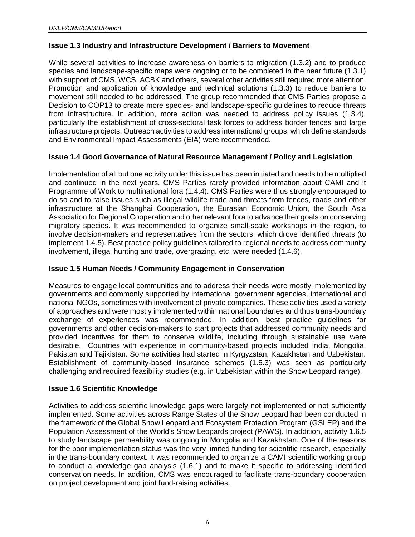#### **Issue 1.3 Industry and Infrastructure Development / Barriers to Movement**

While several activities to increase awareness on barriers to migration (1.3.2) and to produce species and landscape-specific maps were ongoing or to be completed in the near future (1.3.1) with support of CMS, WCS, ACBK and others, several other activities still required more attention. Promotion and application of knowledge and technical solutions (1.3.3) to reduce barriers to movement still needed to be addressed. The group recommended that CMS Parties propose a Decision to COP13 to create more species- and landscape-specific guidelines to reduce threats from infrastructure. In addition, more action was needed to address policy issues (1.3.4), particularly the establishment of cross-sectoral task forces to address border fences and large infrastructure projects. Outreach activities to address international groups, which define standards and Environmental Impact Assessments (EIA) were recommended.

#### **Issue 1.4 Good Governance of Natural Resource Management / Policy and Legislation**

Implementation of all but one activity under this issue has been initiated and needs to be multiplied and continued in the next years. CMS Parties rarely provided information about CAMI and it Programme of Work to multinational fora (1.4.4). CMS Parties were thus strongly encouraged to do so and to raise issues such as illegal wildlife trade and threats from fences, roads and other infrastructure at the Shanghai Cooperation, the Eurasian Economic Union, the South Asia Association for Regional Cooperation and other relevant fora to advance their goals on conserving migratory species. It was recommended to organize small-scale workshops in the region, to involve decision-makers and representatives from the sectors, which drove identified threats (to implement 1.4.5). Best practice policy guidelines tailored to regional needs to address community involvement, illegal hunting and trade, overgrazing, etc. were needed (1.4.6).

#### **Issue 1.5 Human Needs / Community Engagement in Conservation**

Measures to engage local communities and to address their needs were mostly implemented by governments and commonly supported by international government agencies, international and national NGOs, sometimes with involvement of private companies. These activities used a variety of approaches and were mostly implemented within national boundaries and thus trans-boundary exchange of experiences was recommended. In addition, best practice guidelines for governments and other decision-makers to start projects that addressed community needs and provided incentives for them to conserve wildlife, including through sustainable use were desirable. Countries with experience in community-based projects included India, Mongolia, Pakistan and Tajikistan. Some activities had started in Kyrgyzstan, Kazakhstan and Uzbekistan. Establishment of community-based insurance schemes (1.5.3) was seen as particularly challenging and required feasibility studies (e.g. in Uzbekistan within the Snow Leopard range).

#### **Issue 1.6 Scientific Knowledge**

Activities to address scientific knowledge gaps were largely not implemented or not sufficiently implemented. Some activities across Range States of the Snow Leopard had been conducted in the framework of the Global Snow Leopard and Ecosystem Protection Program (GSLEP) and the Population Assessment of the World's Snow Leopards project *(*PAWS). In addition, activity 1.6.5 to study landscape permeability was ongoing in Mongolia and Kazakhstan. One of the reasons for the poor implementation status was the very limited funding for scientific research, especially in the trans-boundary context. It was recommended to organize a CAMI scientific working group to conduct a knowledge gap analysis (1.6.1) and to make it specific to addressing identified conservation needs. In addition, CMS was encouraged to facilitate trans-boundary cooperation on project development and joint fund-raising activities.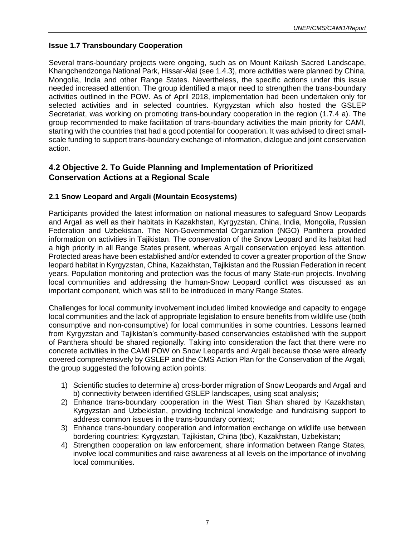#### **Issue 1.7 Transboundary Cooperation**

Several trans-boundary projects were ongoing, such as on Mount Kailash Sacred Landscape, Khangchendzonga National Park, Hissar-Alai (see 1.4.3), more activities were planned by China, Mongolia, India and other Range States. Nevertheless, the specific actions under this issue needed increased attention. The group identified a major need to strengthen the trans-boundary activities outlined in the POW. As of April 2018, implementation had been undertaken only for selected activities and in selected countries. Kyrgyzstan which also hosted the GSLEP Secretariat, was working on promoting trans-boundary cooperation in the region (1.7.4 a). The group recommended to make facilitation of trans-boundary activities the main priority for CAMI, starting with the countries that had a good potential for cooperation. It was advised to direct smallscale funding to support trans-boundary exchange of information, dialogue and joint conservation action.

#### <span id="page-6-0"></span>**4.2 Objective 2. To Guide Planning and Implementation of Prioritized Conservation Actions at a Regional Scale**

#### **2.1 Snow Leopard and Argali (Mountain Ecosystems)**

Participants provided the latest information on national measures to safeguard Snow Leopards and Argali as well as their habitats in Kazakhstan, Kyrgyzstan, China, India, Mongolia, Russian Federation and Uzbekistan. The Non-Governmental Organization (NGO) Panthera provided information on activities in Tajikistan. The conservation of the Snow Leopard and its habitat had a high priority in all Range States present, whereas Argali conservation enjoyed less attention. Protected areas have been established and/or extended to cover a greater proportion of the Snow leopard habitat in Kyrgyzstan, China, Kazakhstan, Tajikistan and the Russian Federation in recent years. Population monitoring and protection was the focus of many State-run projects. Involving local communities and addressing the human-Snow Leopard conflict was discussed as an important component, which was still to be introduced in many Range States.

Challenges for local community involvement included limited knowledge and capacity to engage local communities and the lack of appropriate legislation to ensure benefits from wildlife use (both consumptive and non-consumptive) for local communities in some countries. Lessons learned from Kyrgyzstan and Tajikistan's community-based conservancies established with the support of Panthera should be shared regionally. Taking into consideration the fact that there were no concrete activities in the CAMI POW on Snow Leopards and Argali because those were already covered comprehensively by GSLEP and the CMS Action Plan for the Conservation of the Argali, the group suggested the following action points:

- 1) Scientific studies to determine a) cross-border migration of Snow Leopards and Argali and b) connectivity between identified GSLEP landscapes, using scat analysis;
- 2) Enhance trans-boundary cooperation in the West Tian Shan shared by Kazakhstan, Kyrgyzstan and Uzbekistan, providing technical knowledge and fundraising support to address common issues in the trans-boundary context;
- 3) Enhance trans-boundary cooperation and information exchange on wildlife use between bordering countries: Kyrgyzstan, Tajikistan, China (tbc), Kazakhstan, Uzbekistan;
- 4) Strengthen cooperation on law enforcement, share information between Range States, involve local communities and raise awareness at all levels on the importance of involving local communities.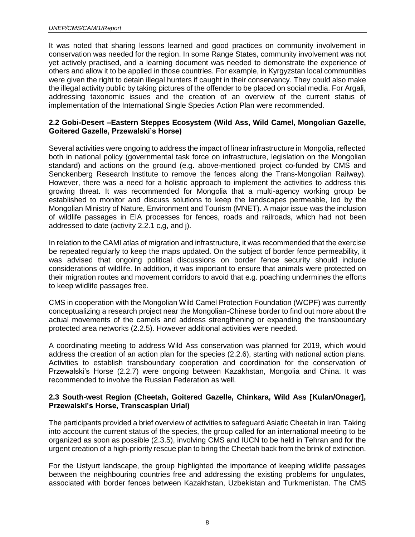It was noted that sharing lessons learned and good practices on community involvement in conservation was needed for the region. In some Range States, community involvement was not yet actively practised, and a learning document was needed to demonstrate the experience of others and allow it to be applied in those countries. For example, in Kyrgyzstan local communities were given the right to detain illegal hunters if caught in their conservancy. They could also make the illegal activity public by taking pictures of the offender to be placed on social media. For Argali, addressing taxonomic issues and the creation of an overview of the current status of implementation of the International Single Species Action Plan were recommended.

#### **2.2 Gobi-Desert –Eastern Steppes Ecosystem (Wild Ass, Wild Camel, Mongolian Gazelle, Goitered Gazelle, Przewalski's Horse)**

Several activities were ongoing to address the impact of linear infrastructure in Mongolia, reflected both in national policy (governmental task force on infrastructure, legislation on the Mongolian standard) and actions on the ground (e.g. above-mentioned project co-funded by CMS and Senckenberg Research Institute to remove the fences along the Trans-Mongolian Railway). However, there was a need for a holistic approach to implement the activities to address this growing threat. It was recommended for Mongolia that a multi-agency working group be established to monitor and discuss solutions to keep the landscapes permeable, led by the Mongolian Ministry of Nature, Environment and Tourism (MNET). A major issue was the inclusion of wildlife passages in EIA processes for fences, roads and railroads, which had not been addressed to date (activity 2.2.1 c,g, and j).

In relation to the CAMI atlas of migration and infrastructure, it was recommended that the exercise be repeated regularly to keep the maps updated. On the subject of border fence permeability, it was advised that ongoing political discussions on border fence security should include considerations of wildlife. In addition, it was important to ensure that animals were protected on their migration routes and movement corridors to avoid that e.g. poaching undermines the efforts to keep wildlife passages free.

CMS in cooperation with the Mongolian Wild Camel Protection Foundation (WCPF) was currently conceptualizing a research project near the Mongolian-Chinese border to find out more about the actual movements of the camels and address strengthening or expanding the transboundary protected area networks (2.2.5). However additional activities were needed.

A coordinating meeting to address Wild Ass conservation was planned for 2019, which would address the creation of an action plan for the species (2.2.6), starting with national action plans. Activities to establish transboundary cooperation and coordination for the conservation of Przewalski's Horse (2.2.7) were ongoing between Kazakhstan, Mongolia and China. It was recommended to involve the Russian Federation as well.

#### **2.3 South-west Region (Cheetah, Goitered Gazelle, Chinkara, Wild Ass [Kulan/Onager], Przewalski's Horse, Transcaspian Urial)**

The participants provided a brief overview of activities to safeguard Asiatic Cheetah in Iran. Taking into account the current status of the species, the group called for an international meeting to be organized as soon as possible (2.3.5), involving CMS and IUCN to be held in Tehran and for the urgent creation of a high-priority rescue plan to bring the Cheetah back from the brink of extinction.

For the Ustyurt landscape, the group highlighted the importance of keeping wildlife passages between the neighbouring countries free and addressing the existing problems for ungulates, associated with border fences between Kazakhstan, Uzbekistan and Turkmenistan. The CMS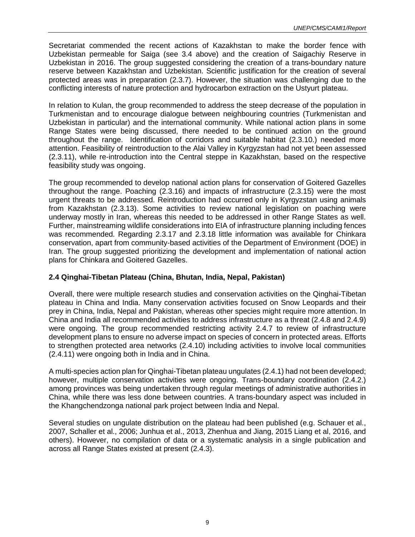Secretariat commended the recent actions of Kazakhstan to make the border fence with Uzbekistan permeable for Saiga (see 3.4 above) and the creation of Saigachiy Reserve in Uzbekistan in 2016. The group suggested considering the creation of a trans-boundary nature reserve between Kazakhstan and Uzbekistan. Scientific justification for the creation of several protected areas was in preparation (2.3.7). However, the situation was challenging due to the conflicting interests of nature protection and hydrocarbon extraction on the Ustyurt plateau.

In relation to Kulan, the group recommended to address the steep decrease of the population in Turkmenistan and to encourage dialogue between neighbouring countries (Turkmenistan and Uzbekistan in particular) and the international community. While national action plans in some Range States were being discussed, there needed to be continued action on the ground throughout the range. Identification of corridors and suitable habitat (2.3.10.) needed more attention. Feasibility of reintroduction to the Alai Valley in Kyrgyzstan had not yet been assessed (2.3.11), while re-introduction into the Central steppe in Kazakhstan, based on the respective feasibility study was ongoing.

The group recommended to develop national action plans for conservation of Goitered Gazelles throughout the range. Poaching (2.3.16) and impacts of infrastructure (2.3.15) were the most urgent threats to be addressed. Reintroduction had occurred only in Kyrgyzstan using animals from Kazakhstan (2.3.13). Some activities to review national legislation on poaching were underway mostly in Iran, whereas this needed to be addressed in other Range States as well. Further, mainstreaming wildlife considerations into EIA of infrastructure planning including fences was recommended. Regarding 2.3.17 and 2.3.18 little information was available for Chinkara conservation, apart from community-based activities of the Department of Environment (DOE) in Iran. The group suggested prioritizing the development and implementation of national action plans for Chinkara and Goitered Gazelles.

#### **2.4 Qinghai-Tibetan Plateau (China, Bhutan, India, Nepal, Pakistan)**

Overall, there were multiple research studies and conservation activities on the Qinghai-Tibetan plateau in China and India. Many conservation activities focused on Snow Leopards and their prey in China, India, Nepal and Pakistan, whereas other species might require more attention. In China and India all recommended activities to address infrastructure as a threat (2.4.8 and 2.4.9) were ongoing. The group recommended restricting activity 2.4.7 to review of infrastructure development plans to ensure no adverse impact on species of concern in protected areas. Efforts to strengthen protected area networks (2.4.10) including activities to involve local communities (2.4.11) were ongoing both in India and in China.

A multi-species action plan for Qinghai-Tibetan plateau ungulates (2.4.1) had not been developed; however, multiple conservation activities were ongoing. Trans-boundary coordination (2.4.2.) among provinces was being undertaken through regular meetings of administrative authorities in China, while there was less done between countries. A trans-boundary aspect was included in the Khangchendzonga national park project between India and Nepal.

Several studies on ungulate distribution on the plateau had been published (e.g. Schauer et al., 2007, Schaller et al., 2006; Junhua et al., 2013, Zhenhua and Jiang, 2015 Liang et al, 2016, and others). However, no compilation of data or a systematic analysis in a single publication and across all Range States existed at present (2.4.3).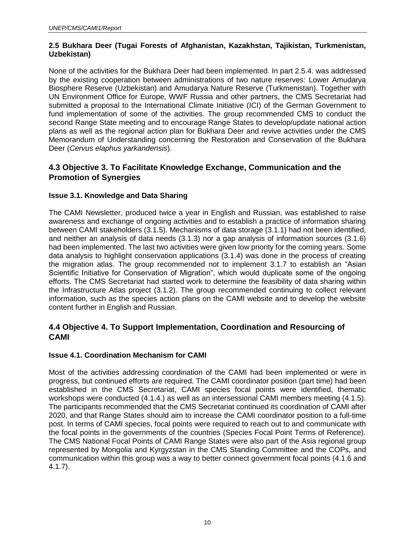#### **2.5 Bukhara Deer (Tugai Forests of Afghanistan, Kazakhstan, Tajikistan, Turkmenistan, Uzbekistan)**

None of the activities for the Bukhara Deer had been implemented. In part 2.5.4. was addressed by the existing cooperation between administrations of two nature reserves: Lower Amudarya Biosphere Reserve (Uzbekistan) and Amudarya Nature Reserve (Turkmenistan). Together with UN Environment Office for Europe, WWF Russia and other partners, the CMS Secretariat had submitted a proposal to the International Climate Initiative (ICI) of the German Government to fund implementation of some of the activities. The group recommended CMS to conduct the second Range State meeting and to encourage Range States to develop/update national action plans as well as the regional action plan for Bukhara Deer and revive activities under the CMS Memorandum of Understanding concerning the Restoration and Conservation of the Bukhara Deer (*Cervus elaphus yarkandensis*).

#### <span id="page-9-0"></span>**4.3 Objective 3. To Facilitate Knowledge Exchange, Communication and the Promotion of Synergies**

#### **Issue 3.1. Knowledge and Data Sharing**

The CAMI Newsletter, produced twice a year in English and Russian, was established to raise awareness and exchange of ongoing activities and to establish a practice of information sharing between CAMI stakeholders (3.1.5). Mechanisms of data storage (3.1.1) had not been identified, and neither an analysis of data needs (3.1.3) nor a gap analysis of information sources (3.1.6) had been implemented. The last two activities were given low priority for the coming years. Some data analysis to highlight conservation applications (3.1.4) was done in the process of creating the migration atlas. The group recommended not to implement 3.1.7 to establish an "Asian Scientific Initiative for Conservation of Migration", which would duplicate some of the ongoing efforts. The CMS Secretariat had started work to determine the feasibility of data sharing within the Infrastructure Atlas project (3.1.2). The group recommended continuing to collect relevant information, such as the species action plans on the CAMI website and to develop the website content further in English and Russian.

#### <span id="page-9-1"></span>**4.4 Objective 4. To Support Implementation, Coordination and Resourcing of CAMI**

#### **Issue 4.1. Coordination Mechanism for CAMI**

Most of the activities addressing coordination of the CAMI had been implemented or were in progress, but continued efforts are required. The CAMI coordinator position (part time) had been established in the CMS Secretariat, CAMI species focal points were identified, thematic workshops were conducted (4.1.4.) as well as an intersessional CAMI members meeting (4.1.5). The participants recommended that the CMS Secretariat continued its coordination of CAMI after 2020, and that Range States should aim to increase the CAMI coordinator position to a full-time post. In terms of CAMI species, focal points were required to reach out to and communicate with the focal points in the governments of the countries (Species Focal Point Terms of Reference). The CMS National Focal Points of CAMI Range States were also part of the Asia regional group represented by Mongolia and Kyrgyzstan in the CMS Standing Committee and the COPs, and communication within this group was a way to better connect government focal points (4.1.6 and 4.1.7).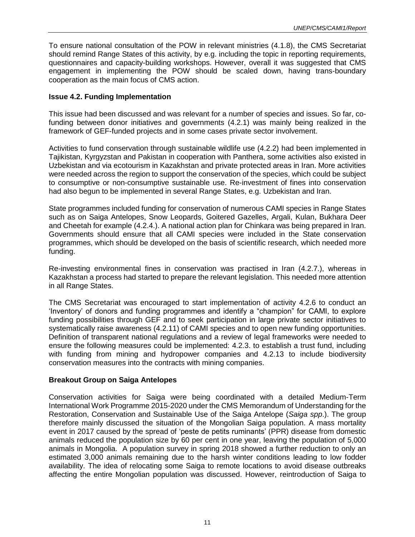To ensure national consultation of the POW in relevant ministries (4.1.8), the CMS Secretariat should remind Range States of this activity, by e.g. including the topic in reporting requirements, questionnaires and capacity-building workshops. However, overall it was suggested that CMS engagement in implementing the POW should be scaled down, having trans-boundary cooperation as the main focus of CMS action.

#### **Issue 4.2. Funding Implementation**

This issue had been discussed and was relevant for a number of species and issues. So far, cofunding between donor initiatives and governments (4.2.1) was mainly being realized in the framework of GEF-funded projects and in some cases private sector involvement.

Activities to fund conservation through sustainable wildlife use (4.2.2) had been implemented in Tajikistan, Kyrgyzstan and Pakistan in cooperation with Panthera, some activities also existed in Uzbekistan and via ecotourism in Kazakhstan and private protected areas in Iran. More activities were needed across the region to support the conservation of the species, which could be subject to consumptive or non-consumptive sustainable use. Re-investment of fines into conservation had also begun to be implemented in several Range States, e.g. Uzbekistan and Iran.

State programmes included funding for conservation of numerous CAMI species in Range States such as on Saiga Antelopes, Snow Leopards, Goitered Gazelles, Argali, Kulan, Bukhara Deer and Cheetah for example (4.2.4.). A national action plan for Chinkara was being prepared in Iran. Governments should ensure that all CAMI species were included in the State conservation programmes, which should be developed on the basis of scientific research, which needed more funding.

Re-investing environmental fines in conservation was practised in Iran (4.2.7.), whereas in Kazakhstan a process had started to prepare the relevant legislation. This needed more attention in all Range States.

The CMS Secretariat was encouraged to start implementation of activity 4.2.6 to conduct an 'Inventory' of donors and funding programmes and identify a "champion" for CAMI, to explore funding possibilities through GEF and to seek participation in large private sector initiatives to systematically raise awareness (4.2.11) of CAMI species and to open new funding opportunities. Definition of transparent national regulations and a review of legal frameworks were needed to ensure the following measures could be implemented: 4.2.3. to establish a trust fund, including with funding from mining and hydropower companies and 4.2.13 to include biodiversity conservation measures into the contracts with mining companies.

#### **Breakout Group on Saiga Antelopes**

Conservation activities for Saiga were being coordinated with a detailed Medium-Term International Work Programme 2015-2020 under the CMS Memorandum of Understanding for the Restoration, Conservation and Sustainable Use of the Saiga Antelope (*Saiga spp*.). The group therefore mainly discussed the situation of the Mongolian Saiga population. A mass mortality event in 2017 caused by the spread of 'peste de petits ruminants' (PPR) disease from domestic animals reduced the population size by 60 per cent in one year, leaving the population of 5,000 animals in Mongolia. A population survey in spring 2018 showed a further reduction to only an estimated 3,000 animals remaining due to the harsh winter conditions leading to low fodder availability. The idea of relocating some Saiga to remote locations to avoid disease outbreaks affecting the entire Mongolian population was discussed. However, reintroduction of Saiga to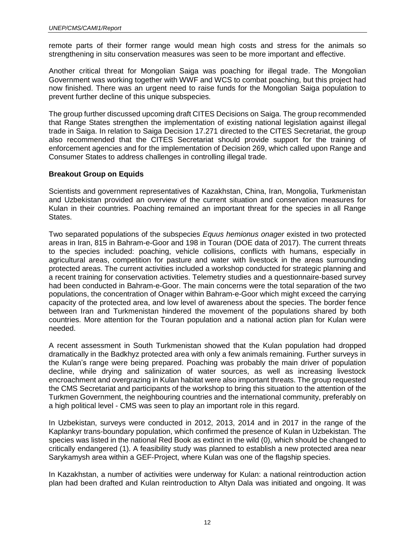remote parts of their former range would mean high costs and stress for the animals so strengthening in situ conservation measures was seen to be more important and effective.

Another critical threat for Mongolian Saiga was poaching for illegal trade. The Mongolian Government was working together with WWF and WCS to combat poaching, but this project had now finished. There was an urgent need to raise funds for the Mongolian Saiga population to prevent further decline of this unique subspecies.

The group further discussed upcoming draft CITES Decisions on Saiga. The group recommended that Range States strengthen the implementation of existing national legislation against illegal trade in Saiga. In relation to Saiga Decision 17.271 directed to the CITES Secretariat, the group also recommended that the CITES Secretariat should provide support for the training of enforcement agencies and for the implementation of Decision 269, which called upon Range and Consumer States to address challenges in controlling illegal trade.

#### **Breakout Group on Equids**

Scientists and government representatives of Kazakhstan, China, Iran, Mongolia, Turkmenistan and Uzbekistan provided an overview of the current situation and conservation measures for Kulan in their countries. Poaching remained an important threat for the species in all Range States.

Two separated populations of the subspecies *Equus hemionus onager* existed in two protected areas in Iran, 815 in Bahram-e-Goor and 198 in Touran (DOE data of 2017). The current threats to the species included: poaching, vehicle collisions, conflicts with humans, especially in agricultural areas, competition for pasture and water with livestock in the areas surrounding protected areas. The current activities included a workshop conducted for strategic planning and a recent training for conservation activities. Telemetry studies and a questionnaire-based survey had been conducted in Bahram-e-Goor. The main concerns were the total separation of the two populations, the concentration of Onager within Bahram-e-Goor which might exceed the carrying capacity of the protected area, and low level of awareness about the species. The border fence between Iran and Turkmenistan hindered the movement of the populations shared by both countries. More attention for the Touran population and a national action plan for Kulan were needed.

A recent assessment in South Turkmenistan showed that the Kulan population had dropped dramatically in the Badkhyz protected area with only a few animals remaining. Further surveys in the Kulan's range were being prepared. Poaching was probably the main driver of population decline, while drying and salinization of water sources, as well as increasing livestock encroachment and overgrazing in Kulan habitat were also important threats. The group requested the CMS Secretariat and participants of the workshop to bring this situation to the attention of the Turkmen Government, the neighbouring countries and the international community, preferably on a high political level - CMS was seen to play an important role in this regard.

In Uzbekistan, surveys were conducted in 2012, 2013, 2014 and in 2017 in the range of the Kaplankyr trans-boundary population, which confirmed the presence of Kulan in Uzbekistan. The species was listed in the national Red Book as extinct in the wild (0), which should be changed to critically endangered (1). A feasibility study was planned to establish a new protected area near Sarykamysh area within a GEF-Project, where Kulan was one of the flagship species.

In Kazakhstan, a number of activities were underway for Kulan: a national reintroduction action plan had been drafted and Kulan reintroduction to Altyn Dala was initiated and ongoing. It was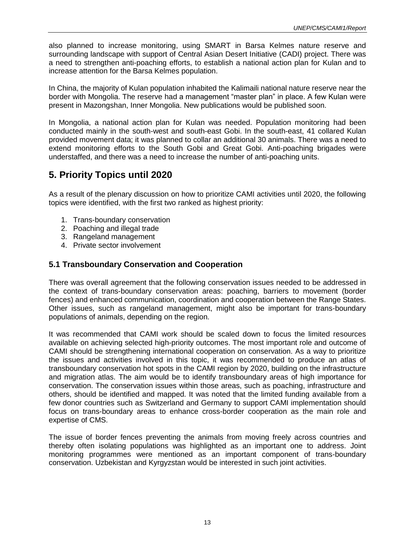also planned to increase monitoring, using SMART in Barsa Kelmes nature reserve and surrounding landscape with support of Central Asian Desert Initiative (CADI) project. There was a need to strengthen anti-poaching efforts, to establish a national action plan for Kulan and to increase attention for the Barsa Kelmes population.

In China, the majority of Kulan population inhabited the Kalimaili national nature reserve near the border with Mongolia. The reserve had a management "master plan" in place. A few Kulan were present in Mazongshan, Inner Mongolia. New publications would be published soon.

In Mongolia, a national action plan for Kulan was needed. Population monitoring had been conducted mainly in the south-west and south-east Gobi. In the south-east, 41 collared Kulan provided movement data; it was planned to collar an additional 30 animals. There was a need to extend monitoring efforts to the South Gobi and Great Gobi. Anti-poaching brigades were understaffed, and there was a need to increase the number of anti-poaching units.

# <span id="page-12-0"></span>**5. Priority Topics until 2020**

As a result of the plenary discussion on how to prioritize CAMI activities until 2020, the following topics were identified, with the first two ranked as highest priority:

- 1. Trans-boundary conservation
- 2. Poaching and illegal trade
- 3. Rangeland management
- 4. Private sector involvement

#### <span id="page-12-1"></span>**5.1 Transboundary Conservation and Cooperation**

There was overall agreement that the following conservation issues needed to be addressed in the context of trans-boundary conservation areas: poaching, barriers to movement (border fences) and enhanced communication, coordination and cooperation between the Range States. Other issues, such as rangeland management, might also be important for trans-boundary populations of animals, depending on the region.

It was recommended that CAMI work should be scaled down to focus the limited resources available on achieving selected high-priority outcomes. The most important role and outcome of CAMI should be strengthening international cooperation on conservation. As a way to prioritize the issues and activities involved in this topic, it was recommended to produce an atlas of transboundary conservation hot spots in the CAMI region by 2020, building on the infrastructure and migration atlas. The aim would be to identify transboundary areas of high importance for conservation. The conservation issues within those areas, such as poaching, infrastructure and others, should be identified and mapped. It was noted that the limited funding available from a few donor countries such as Switzerland and Germany to support CAMI implementation should focus on trans-boundary areas to enhance cross-border cooperation as the main role and expertise of CMS.

The issue of border fences preventing the animals from moving freely across countries and thereby often isolating populations was highlighted as an important one to address. Joint monitoring programmes were mentioned as an important component of trans-boundary conservation. Uzbekistan and Kyrgyzstan would be interested in such joint activities.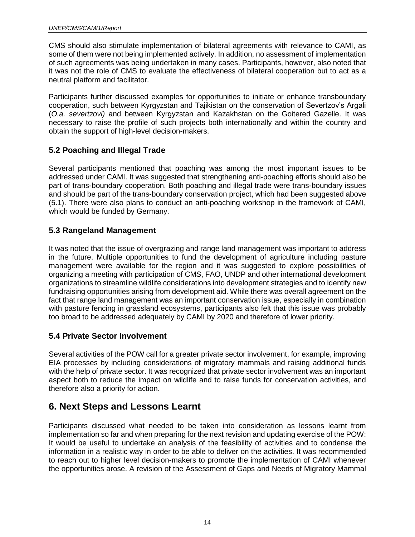CMS should also stimulate implementation of bilateral agreements with relevance to CAMI, as some of them were not being implemented actively. In addition, no assessment of implementation of such agreements was being undertaken in many cases. Participants, however, also noted that it was not the role of CMS to evaluate the effectiveness of bilateral cooperation but to act as a neutral platform and facilitator.

Participants further discussed examples for opportunities to initiate or enhance transboundary cooperation, such between Kyrgyzstan and Tajikistan on the conservation of Severtzov's Argali (*O.a. severtzovi)* and between Kyrgyzstan and Kazakhstan on the Goitered Gazelle. It was necessary to raise the profile of such projects both internationally and within the country and obtain the support of high-level decision-makers.

#### <span id="page-13-0"></span>**5.2 Poaching and Illegal Trade**

Several participants mentioned that poaching was among the most important issues to be addressed under CAMI. It was suggested that strengthening anti-poaching efforts should also be part of trans-boundary cooperation. Both poaching and illegal trade were trans-boundary issues and should be part of the trans-boundary conservation project, which had been suggested above (5.1). There were also plans to conduct an anti-poaching workshop in the framework of CAMI, which would be funded by Germany.

#### <span id="page-13-1"></span>**5.3 Rangeland Management**

It was noted that the issue of overgrazing and range land management was important to address in the future. Multiple opportunities to fund the development of agriculture including pasture management were available for the region and it was suggested to explore possibilities of organizing a meeting with participation of CMS, FAO, UNDP and other international development organizations to streamline wildlife considerations into development strategies and to identify new fundraising opportunities arising from development aid. While there was overall agreement on the fact that range land management was an important conservation issue, especially in combination with pasture fencing in grassland ecosystems, participants also felt that this issue was probably too broad to be addressed adequately by CAMI by 2020 and therefore of lower priority.

#### <span id="page-13-2"></span>**5.4 Private Sector Involvement**

Several activities of the POW call for a greater private sector involvement, for example, improving EIA processes by including considerations of migratory mammals and raising additional funds with the help of private sector. It was recognized that private sector involvement was an important aspect both to reduce the impact on wildlife and to raise funds for conservation activities, and therefore also a priority for action.

### <span id="page-13-3"></span>**6. Next Steps and Lessons Learnt**

Participants discussed what needed to be taken into consideration as lessons learnt from implementation so far and when preparing for the next revision and updating exercise of the POW: It would be useful to undertake an analysis of the feasibility of activities and to condense the information in a realistic way in order to be able to deliver on the activities. It was recommended to reach out to higher level decision-makers to promote the implementation of CAMI whenever the opportunities arose. A revision of the Assessment of Gaps and Needs of Migratory Mammal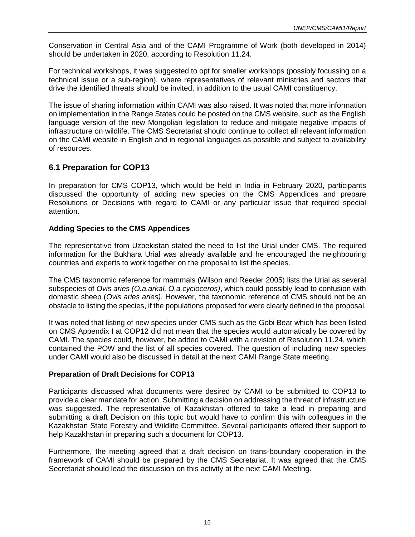Conservation in Central Asia and of the CAMI Programme of Work (both developed in 2014) should be undertaken in 2020, according to Resolution 11.24.

For technical workshops, it was suggested to opt for smaller workshops (possibly focussing on a technical issue or a sub-region), where representatives of relevant ministries and sectors that drive the identified threats should be invited, in addition to the usual CAMI constituency.

The issue of sharing information within CAMI was also raised. It was noted that more information on implementation in the Range States could be posted on the CMS website, such as the English language version of the new Mongolian legislation to reduce and mitigate negative impacts of infrastructure on wildlife. The CMS Secretariat should continue to collect all relevant information on the CAMI website in English and in regional languages as possible and subject to availability of resources.

#### <span id="page-14-0"></span>**6.1 Preparation for COP13**

In preparation for CMS COP13, which would be held in India in February 2020, participants discussed the opportunity of adding new species on the CMS Appendices and prepare Resolutions or Decisions with regard to CAMI or any particular issue that required special attention.

#### **Adding Species to the CMS Appendices**

The representative from Uzbekistan stated the need to list the Urial under CMS. The required information for the Bukhara Urial was already available and he encouraged the neighbouring countries and experts to work together on the proposal to list the species.

The CMS taxonomic reference for mammals (Wilson and Reeder 2005) lists the Urial as several subspecies of *Ovis aries (O.a.arkal, O.a.cycloceros)*, which could possibly lead to confusion with domestic sheep (*Ovis aries aries)*. However, the taxonomic reference of CMS should not be an obstacle to listing the species, if the populations proposed for were clearly defined in the proposal.

It was noted that listing of new species under CMS such as the Gobi Bear which has been listed on CMS Appendix I at COP12 did not mean that the species would automatically be covered by CAMI. The species could, however, be added to CAMI with a revision of Resolution 11.24, which contained the POW and the list of all species covered. The question of including new species under CAMI would also be discussed in detail at the next CAMI Range State meeting.

#### **Preparation of Draft Decisions for COP13**

Participants discussed what documents were desired by CAMI to be submitted to COP13 to provide a clear mandate for action. Submitting a decision on addressing the threat of infrastructure was suggested. The representative of Kazakhstan offered to take a lead in preparing and submitting a draft Decision on this topic but would have to confirm this with colleagues in the Kazakhstan State Forestry and Wildlife Committee. Several participants offered their support to help Kazakhstan in preparing such a document for COP13.

<span id="page-14-1"></span>Furthermore, the meeting agreed that a draft decision on trans-boundary cooperation in the framework of CAMI should be prepared by the CMS Secretariat. It was agreed that the CMS Secretariat should lead the discussion on this activity at the next CAMI Meeting.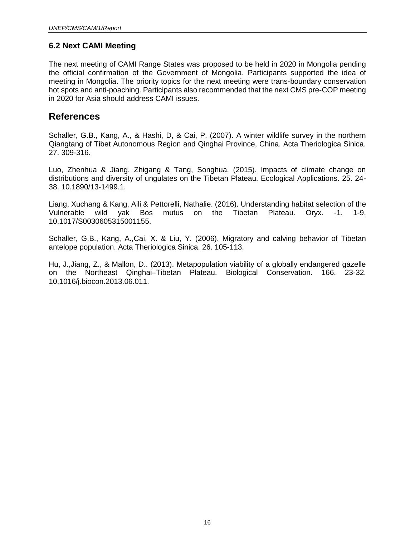#### **6.2 Next CAMI Meeting**

The next meeting of CAMI Range States was proposed to be held in 2020 in Mongolia pending the official confirmation of the Government of Mongolia. Participants supported the idea of meeting in Mongolia. The priority topics for the next meeting were trans-boundary conservation hot spots and anti-poaching. Participants also recommended that the next CMS pre-COP meeting in 2020 for Asia should address CAMI issues.

### <span id="page-15-0"></span>**References**

Schaller, G.B., Kang, A., & Hashi, D, & Cai, P. (2007). A winter wildlife survey in the northern Qiangtang of Tibet Autonomous Region and Qinghai Province, China. Acta Theriologica Sinica. 27. 309-316.

Luo, Zhenhua & Jiang, Zhigang & Tang, Songhua. (2015). Impacts of climate change on distributions and diversity of ungulates on the Tibetan Plateau. Ecological Applications. 25. 24- 38. 10.1890/13-1499.1.

Liang, Xuchang & Kang, Aili & Pettorelli, Nathalie. (2016). Understanding habitat selection of the Vulnerable wild yak Bos mutus on the Tibetan Plateau. Oryx. -1. 1-9. 10.1017/S0030605315001155.

Schaller, G.B., Kang, A.,Cai, X. & Liu, Y. (2006). Migratory and calving behavior of Tibetan antelope population. Acta Theriologica Sinica. 26. 105-113.

Hu, J.,Jiang, Z., & Mallon, D.. (2013). Metapopulation viability of a globally endangered gazelle on the Northeast Qinghai–Tibetan Plateau. Biological Conservation. 166. 23-32. 10.1016/j.biocon.2013.06.011.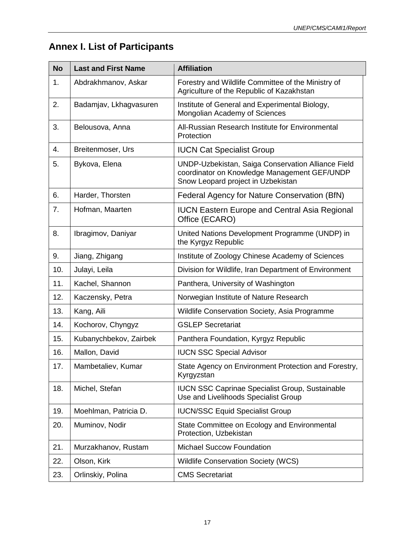# <span id="page-16-0"></span>**Annex I. List of Participants**

| <b>No</b> | <b>Last and First Name</b> | <b>Affiliation</b>                                                                                                                       |
|-----------|----------------------------|------------------------------------------------------------------------------------------------------------------------------------------|
| 1.        | Abdrakhmanov, Askar        | Forestry and Wildlife Committee of the Ministry of<br>Agriculture of the Republic of Kazakhstan                                          |
| 2.        | Badamjav, Lkhagvasuren     | Institute of General and Experimental Biology,<br>Mongolian Academy of Sciences                                                          |
| 3.        | Belousova, Anna            | All-Russian Research Institute for Environmental<br>Protection                                                                           |
| 4.        | Breitenmoser, Urs          | <b>IUCN Cat Specialist Group</b>                                                                                                         |
| 5.        | Bykova, Elena              | UNDP-Uzbekistan, Saiga Conservation Alliance Field<br>coordinator on Knowledge Management GEF/UNDP<br>Snow Leopard project in Uzbekistan |
| 6.        | Harder, Thorsten           | Federal Agency for Nature Conservation (BfN)                                                                                             |
| 7.        | Hofman, Maarten            | <b>IUCN Eastern Europe and Central Asia Regional</b><br>Office (ECARO)                                                                   |
| 8.        | Ibragimov, Daniyar         | United Nations Development Programme (UNDP) in<br>the Kyrgyz Republic                                                                    |
| 9.        | Jiang, Zhigang             | Institute of Zoology Chinese Academy of Sciences                                                                                         |
| 10.       | Julayi, Leila              | Division for Wildlife, Iran Department of Environment                                                                                    |
| 11.       | Kachel, Shannon            | Panthera, University of Washington                                                                                                       |
| 12.       | Kaczensky, Petra           | Norwegian Institute of Nature Research                                                                                                   |
| 13.       | Kang, Aili                 | Wildlife Conservation Society, Asia Programme                                                                                            |
| 14.       | Kochorov, Chyngyz          | <b>GSLEP Secretariat</b>                                                                                                                 |
| 15.       | Kubanychbekov, Zairbek     | Panthera Foundation, Kyrgyz Republic                                                                                                     |
| 16.       | Mallon, David              | <b>IUCN SSC Special Advisor</b>                                                                                                          |
| 17.       | Mambetaliev, Kumar         | State Agency on Environment Protection and Forestry,<br>Kyrgyzstan                                                                       |
| 18.       | Michel, Stefan             | <b>IUCN SSC Caprinae Specialist Group, Sustainable</b><br>Use and Livelihoods Specialist Group                                           |
| 19.       | Moehlman, Patricia D.      | <b>IUCN/SSC Equid Specialist Group</b>                                                                                                   |
| 20.       | Muminov, Nodir             | State Committee on Ecology and Environmental<br>Protection, Uzbekistan                                                                   |
| 21.       | Murzakhanov, Rustam        | <b>Michael Succow Foundation</b>                                                                                                         |
| 22.       | Olson, Kirk                | <b>Wildlife Conservation Society (WCS)</b>                                                                                               |
| 23.       | Orlinskiy, Polina          | <b>CMS Secretariat</b>                                                                                                                   |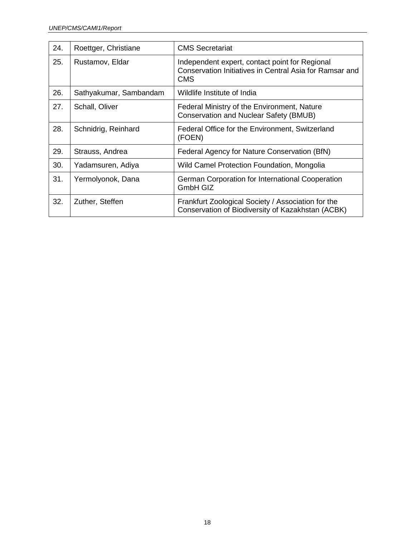| 24. | Roettger, Christiane   | <b>CMS Secretariat</b>                                                                                                  |
|-----|------------------------|-------------------------------------------------------------------------------------------------------------------------|
| 25. | Rustamov, Eldar        | Independent expert, contact point for Regional<br>Conservation Initiatives in Central Asia for Ramsar and<br><b>CMS</b> |
| 26. | Sathyakumar, Sambandam | Wildlife Institute of India                                                                                             |
| 27. | Schall, Oliver         | Federal Ministry of the Environment, Nature<br><b>Conservation and Nuclear Safety (BMUB)</b>                            |
| 28. | Schnidrig, Reinhard    | Federal Office for the Environment, Switzerland<br>(FOEN)                                                               |
| 29. | Strauss, Andrea        | Federal Agency for Nature Conservation (BfN)                                                                            |
| 30. | Yadamsuren, Adiya      | Wild Camel Protection Foundation, Mongolia                                                                              |
| 31. | Yermolyonok, Dana      | German Corporation for International Cooperation<br><b>GmbH GIZ</b>                                                     |
| 32. | Zuther, Steffen        | Frankfurt Zoological Society / Association for the<br>Conservation of Biodiversity of Kazakhstan (ACBK)                 |